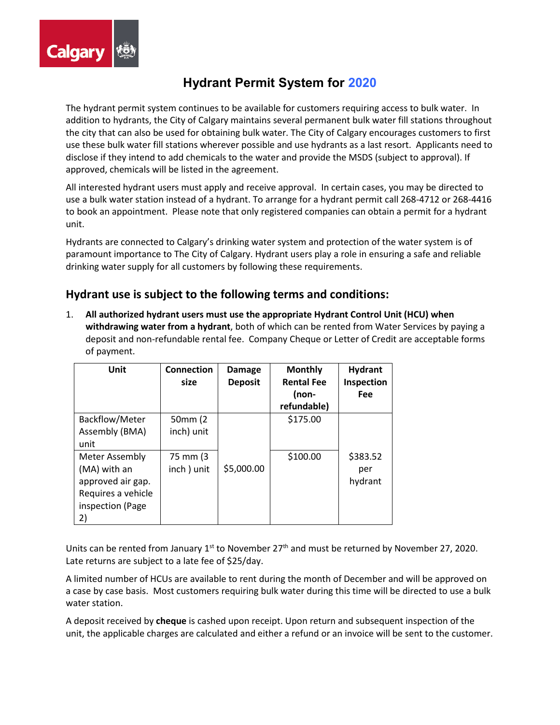

# **Hydrant Permit System for 2020**

The hydrant permit system continues to be available for customers requiring access to bulk water. In addition to hydrants, the City of Calgary maintains several permanent bulk water fill stations throughout the city that can also be used for obtaining bulk water. The City of Calgary encourages customers to first use these bulk water fill stations wherever possible and use hydrants as a last resort. Applicants need to disclose if they intend to add chemicals to the water and provide the MSDS (subject to approval). If approved, chemicals will be listed in the agreement.

All interested hydrant users must apply and receive approval. In certain cases, you may be directed to use a bulk water station instead of a hydrant. To arrange for a hydrant permit call 268-4712 or 268-4416 to book an appointment. Please note that only registered companies can obtain a permit for a hydrant unit.

Hydrants are connected to Calgary's drinking water system and protection of the water system is of paramount importance to The City of Calgary. Hydrant users play a role in ensuring a safe and reliable drinking water supply for all customers by following these requirements.

### **Hydrant use is subject to the following terms and conditions:**

1. **All authorized hydrant users must use the appropriate Hydrant Control Unit (HCU) when withdrawing water from a hydrant**, both of which can be rented from Water Services by paying a deposit and non-refundable rental fee. Company Cheque or Letter of Credit are acceptable forms of payment.

| Unit                                                                                                       | <b>Connection</b><br>size | <b>Damage</b><br><b>Deposit</b> | <b>Monthly</b><br><b>Rental Fee</b> | <b>Hydrant</b><br>Inspection |
|------------------------------------------------------------------------------------------------------------|---------------------------|---------------------------------|-------------------------------------|------------------------------|
|                                                                                                            |                           |                                 | (non-<br>refundable)                | Fee                          |
| Backflow/Meter<br>Assembly (BMA)<br>unit                                                                   | 50mm (2)<br>inch) unit    |                                 | \$175.00                            |                              |
| <b>Meter Assembly</b><br>(MA) with an<br>approved air gap.<br>Requires a vehicle<br>inspection (Page<br>2) | 75 mm (3)<br>inch) unit   | \$5,000.00                      | \$100.00                            | \$383.52<br>per<br>hydrant   |

Units can be rented from January  $1^{st}$  to November 27<sup>th</sup> and must be returned by November 27, 2020. Late returns are subject to a late fee of \$25/day.

A limited number of HCUs are available to rent during the month of December and will be approved on a case by case basis. Most customers requiring bulk water during this time will be directed to use a bulk water station.

A deposit received by **cheque** is cashed upon receipt. Upon return and subsequent inspection of the unit, the applicable charges are calculated and either a refund or an invoice will be sent to the customer.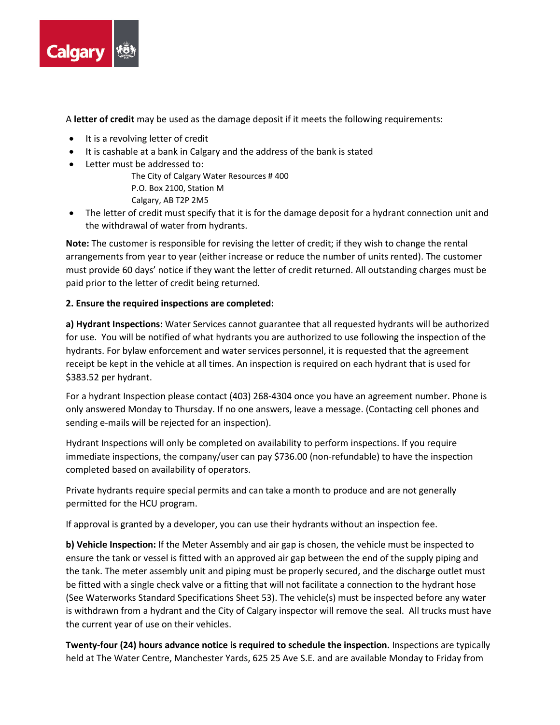

A **letter of credit** may be used as the damage deposit if it meets the following requirements:

- It is a revolving letter of credit
- It is cashable at a bank in Calgary and the address of the bank is stated
- Letter must be addressed to:

The City of Calgary Water Resources # 400

P.O. Box 2100, Station M

Calgary, AB T2P 2M5

• The letter of credit must specify that it is for the damage deposit for a hydrant connection unit and the withdrawal of water from hydrants.

**Note:** The customer is responsible for revising the letter of credit; if they wish to change the rental arrangements from year to year (either increase or reduce the number of units rented). The customer must provide 60 days' notice if they want the letter of credit returned. All outstanding charges must be paid prior to the letter of credit being returned.

#### **2. Ensure the required inspections are completed:**

**a) Hydrant Inspections:** Water Services cannot guarantee that all requested hydrants will be authorized for use. You will be notified of what hydrants you are authorized to use following the inspection of the hydrants. For bylaw enforcement and water services personnel, it is requested that the agreement receipt be kept in the vehicle at all times. An inspection is required on each hydrant that is used for \$383.52 per hydrant.

For a hydrant Inspection please contact (403) 268-4304 once you have an agreement number. Phone is only answered Monday to Thursday. If no one answers, leave a message. (Contacting cell phones and sending e-mails will be rejected for an inspection).

Hydrant Inspections will only be completed on availability to perform inspections. If you require immediate inspections, the company/user can pay \$736.00 (non-refundable) to have the inspection completed based on availability of operators.

Private hydrants require special permits and can take a month to produce and are not generally permitted for the HCU program.

If approval is granted by a developer, you can use their hydrants without an inspection fee.

**b) Vehicle Inspection:** If the Meter Assembly and air gap is chosen, the vehicle must be inspected to ensure the tank or vessel is fitted with an approved air gap between the end of the supply piping and the tank. The meter assembly unit and piping must be properly secured, and the discharge outlet must be fitted with a single check valve or a fitting that will not facilitate a connection to the hydrant hose (See Waterworks Standard Specifications Sheet 53). The vehicle(s) must be inspected before any water is withdrawn from a hydrant and the City of Calgary inspector will remove the seal. All trucks must have the current year of use on their vehicles.

**Twenty-four (24) hours advance notice is required to schedule the inspection.** Inspections are typically held at The Water Centre, Manchester Yards, 625 25 Ave S.E. and are available Monday to Friday from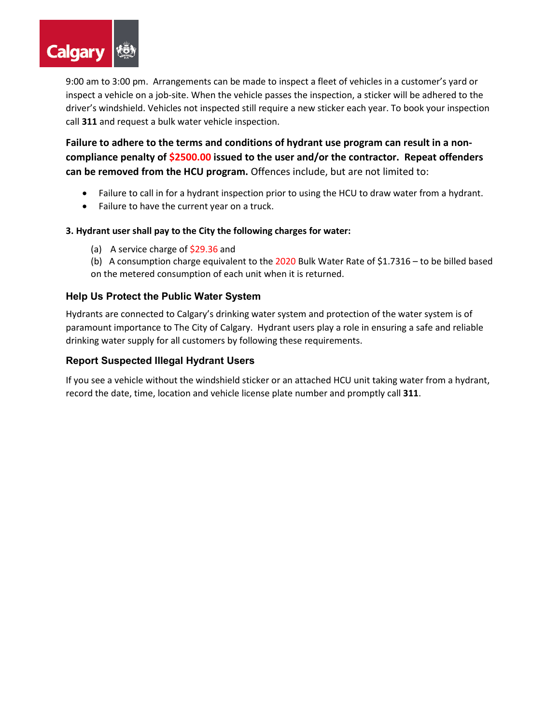

9:00 am to 3:00 pm. Arrangements can be made to inspect a fleet of vehicles in a customer's yard or inspect a vehicle on a job-site. When the vehicle passes the inspection, a sticker will be adhered to the driver's windshield. Vehicles not inspected still require a new sticker each year. To book your inspection call **311** and request a bulk water vehicle inspection.

**Failure to adhere to the terms and conditions of hydrant use program can result in a noncompliance penalty of \$2500.00 issued to the user and/or the contractor. Repeat offenders can be removed from the HCU program.** Offences include, but are not limited to:

- Failure to call in for a hydrant inspection prior to using the HCU to draw water from a hydrant.
- Failure to have the current year on a truck.

#### **3. Hydrant user shall pay to the City the following charges for water:**

- (a) A service charge of \$29.36 and
- (b) A consumption charge equivalent to the 2020 Bulk Water Rate of \$1.7316 to be billed based on the metered consumption of each unit when it is returned.

#### **Help Us Protect the Public Water System**

Hydrants are connected to Calgary's drinking water system and protection of the water system is of paramount importance to The City of Calgary. Hydrant users play a role in ensuring a safe and reliable drinking water supply for all customers by following these requirements.

#### **Report Suspected Illegal Hydrant Users**

If you see a vehicle without the windshield sticker or an attached HCU unit taking water from a hydrant, record the date, time, location and vehicle license plate number and promptly call **311**.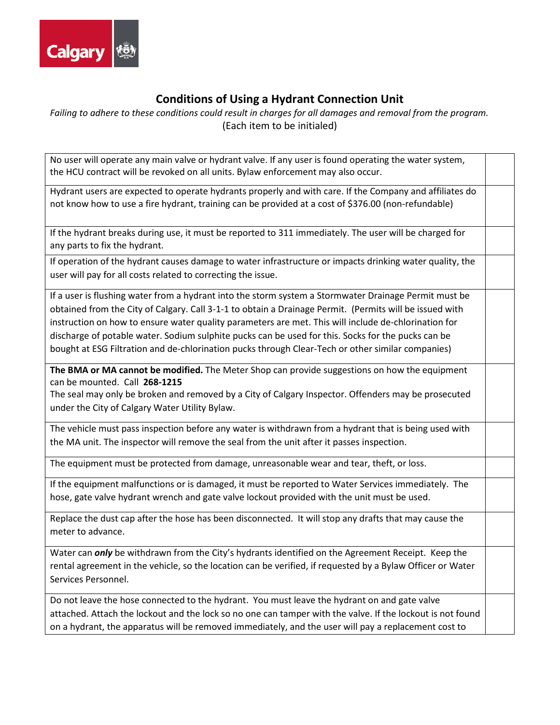

## **Conditions of Using a Hydrant Connection Unit**

*Failing to adhere to these conditions could result in charges for all damages and removal from the program.* (Each item to be initialed)

No user will operate any main valve or hydrant valve. If any user is found operating the water system, the HCU contract will be revoked on all units. Bylaw enforcement may also occur.

Hydrant users are expected to operate hydrants properly and with care. If the Company and affiliates do not know how to use a fire hydrant, training can be provided at a cost of \$376.00 (non-refundable)

If the hydrant breaks during use, it must be reported to 311 immediately. The user will be charged for any parts to fix the hydrant.

If operation of the hydrant causes damage to water infrastructure or impacts drinking water quality, the user will pay for all costs related to correcting the issue.

If a user is flushing water from a hydrant into the storm system a Stormwater Drainage Permit must be obtained from the City of Calgary. Call 3-1-1 to obtain a Drainage Permit. (Permits will be issued with instruction on how to ensure water quality parameters are met. This will include de-chlorination for discharge of potable water. Sodium sulphite pucks can be used for this. Socks for the pucks can be bought at ESG Filtration and de-chlorination pucks through Clear-Tech or other similar companies)

**The BMA or MA cannot be modified.** The Meter Shop can provide suggestions on how the equipment can be mounted. Call **268-1215** 

The seal may only be broken and removed by a City of Calgary Inspector. Offenders may be prosecuted under the City of Calgary Water Utility Bylaw.

The vehicle must pass inspection before any water is withdrawn from a hydrant that is being used with the MA unit. The inspector will remove the seal from the unit after it passes inspection.

The equipment must be protected from damage, unreasonable wear and tear, theft, or loss.

If the equipment malfunctions or is damaged, it must be reported to Water Services immediately. The hose, gate valve hydrant wrench and gate valve lockout provided with the unit must be used.

Replace the dust cap after the hose has been disconnected. It will stop any drafts that may cause the meter to advance.

Water can *only* be withdrawn from the City's hydrants identified on the Agreement Receipt. Keep the rental agreement in the vehicle, so the location can be verified, if requested by a Bylaw Officer or Water Services Personnel.

Do not leave the hose connected to the hydrant. You must leave the hydrant on and gate valve attached. Attach the lockout and the lock so no one can tamper with the valve. If the lockout is not found on a hydrant, the apparatus will be removed immediately, and the user will pay a replacement cost to